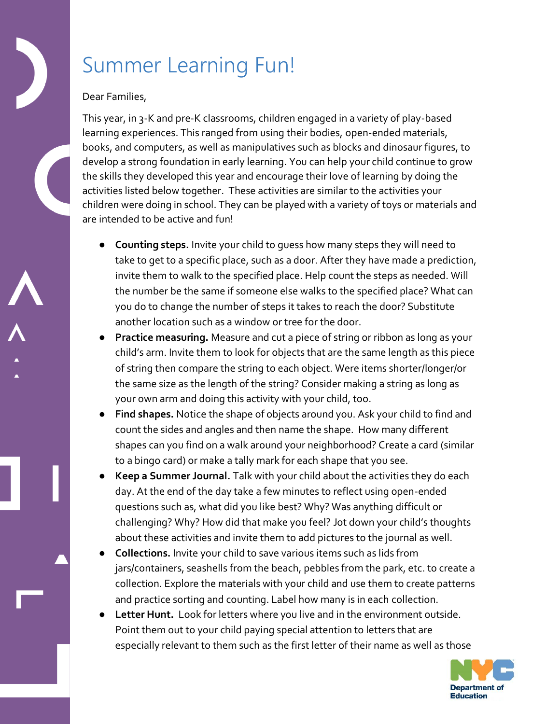## Summer Learning Fun!

## Dear Families,

This year, in 3-K and pre-K classrooms, children engaged in a variety of play-based learning experiences. This ranged from using their bodies, open-ended materials, books, and computers, as well as manipulatives such as blocks and dinosaur figures, to develop a strong foundation in early learning. You can help your child continue to grow the skills they developed this year and encourage their love of learning by doing the activities listed below together. These activities are similar to the activities your children were doing in school. They can be played with a variety of toys or materials and are intended to be active and fun!

- **Counting steps.** Invite your child to guess how many steps they will need to take to get to a specific place, such as a door. After they have made a prediction, invite them to walk to the specified place. Help count the steps as needed. Will the number be the same if someone else walks to the specified place? What can you do to change the number of steps it takes to reach the door? Substitute another location such as a window or tree for the door.
- **Practice measuring.** Measure and cut a piece of string or ribbon as long as your child's arm. Invite them to look for objects that are the same length as this piece of string then compare the string to each object. Were items shorter/longer/or the same size as the length of the string? Consider making a string as long as your own arm and doing this activity with your child, too.
- Find shapes. Notice the shape of objects around you. Ask your child to find and count the sides and angles and then name the shape. How many different shapes can you find on a walk around your neighborhood? Create a card (similar to a bingo card) or make a tally mark for each shape that you see.
- Keep a Summer Journal. Talk with your child about the activities they do each day. At the end of the day take a few minutes to reflect using open-ended questions such as, what did you like best? Why? Was anything difficult or challenging? Why? How did that make you feel? Jot down your child's thoughts about these activities and invite them to add pictures to the journal as well.
- **Collections.** Invite your child to save various items such as lids from jars/containers, seashells from the beach, pebbles from the park, etc. to create a collection. Explore the materials with your child and use them to create patterns and practice sorting and counting. Label how many is in each collection.
- Letter Hunt. Look for letters where you live and in the environment outside. Point them out to your child paying special attention to letters that are especially relevant to them such as the first letter of their name as well as those